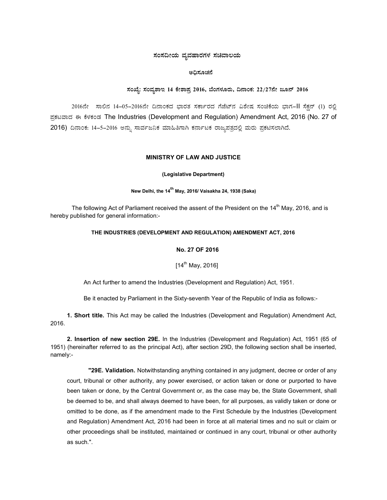# ಸಂಸದೀಯ ವ್ಯವಹಾರಗಳ ಸಚಿವಾಲಯ

### ಅಧಿಸೂಚನೆ

# ಸಂಖ್ಯೆ: ಸಂವ್ಯಶಾಇ 14 ಕೇಶಾಪ್ರ 2016, ಬೆಂಗಳೂರು, ದಿನಾಂಕ: 22/27ನೇ ಜೂನ್ 2016

2016ನೇ ಸಾಲಿನ 14–05–2016ನೇ ದಿನಾಂಕದ ಭಾರತ ಸರ್ಕಾರದ ಗೆಜೆಟ್ನ ವಿಶೇಷ ಸಂಚಿಕೆಯ ಭಾಗ–II ಸೆಕ್ಷನ್ (1) ರಲ್ಲಿ ಪ್ರಕಟವಾದ ಈ ಕೆಳಕಂಡ The Industries (Development and Regulation) Amendment Act, 2016 (No. 27 of 2016) ದಿನಾಂಕ: 14–5–2016 ಅನ್ನು ಸಾರ್ವಜನಿಕ ಮಾಹಿತಿಗಾಗಿ ಕರ್ನಾಟಕ ರಾಜ್ಯಪತ್ರದಲ್ಲಿ ಮರು ಪ್ರಕಟಿಸಲಾಗಿದೆ.

### MINISTRY OF LAW AND JUSTICE

#### (Legislative Department)

## New Delhi, the 14<sup>th</sup> May, 2016/ Vaisakha 24, 1938 (Saka)

The following Act of Parliament received the assent of the President on the 14<sup>th</sup> May, 2016, and is hereby published for general information:-

#### THE INDUSTRIES (DEVELOPMENT AND REGULATION) AMENDMENT ACT, 2016

## No. 27 OF 2016

 $[14^{th}$  May, 2016]

An Act further to amend the Industries (Development and Regulation) Act, 1951.

Be it enacted by Parliament in the Sixty-seventh Year of the Republic of India as follows:-

1. Short title. This Act may be called the Industries (Development and Regulation) Amendment Act, 2016.

2. Insertion of new section 29E. In the Industries (Development and Regulation) Act, 1951 (65 of 1951) (hereinafter referred to as the principal Act), after section 29D, the following section shall be inserted, namely:-

"29E. Validation. Notwithstanding anything contained in any judgment, decree or order of any court, tribunal or other authority, any power exercised, or action taken or done or purported to have been taken or done, by the Central Government or, as the case may be, the State Government, shall be deemed to be, and shall always deemed to have been, for all purposes, as validly taken or done or omitted to be done, as if the amendment made to the First Schedule by the Industries (Development and Regulation) Amendment Act, 2016 had been in force at all material times and no suit or claim or other proceedings shall be instituted, maintained or continued in any court, tribunal or other authority as such.".